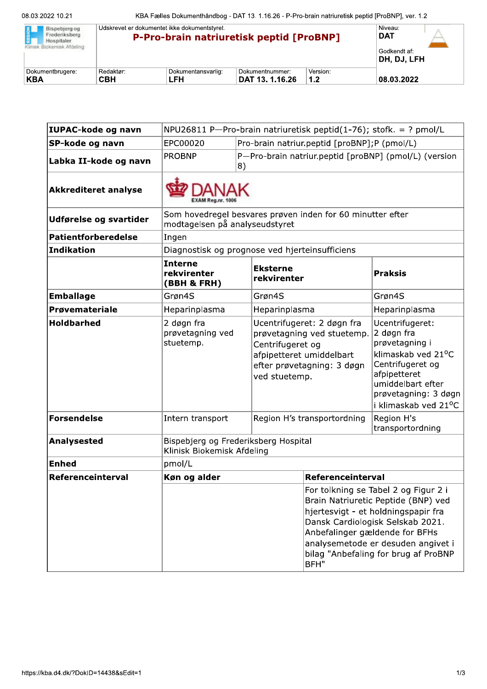| Bispebierg og<br>Frederiksberg<br>Hospitaler.<br>Klinisk Biokemisk Afdeling | Udskrevet er dokumentet ikke dokumentstyret.<br>P-Pro-brain natriuretisk peptid [ProBNP] | Niveau:<br><b>DAT</b> |                 |          |                              |
|-----------------------------------------------------------------------------|------------------------------------------------------------------------------------------|-----------------------|-----------------|----------|------------------------------|
|                                                                             |                                                                                          |                       |                 |          | Godkendt af:<br> DH, DJ, LFH |
| Dokumentbrugere:                                                            | Redaktør:                                                                                | Dokumentansvarlig:    | Dokumentnummer: | Version: |                              |
| ∣KBA                                                                        | <b>CBH</b>                                                                               | LFH                   | DAT 13. 1.16.26 | 1.2      | 08.03.2022                   |

| IUPAC-kode og navn          | NPU26811 P-Pro-brain natriuretisk peptid(1-76); stofk. = ? pmol/L                            |                                                             |                                                                                                                                                         |                                        |                                                                                                                                                                                                                                      |
|-----------------------------|----------------------------------------------------------------------------------------------|-------------------------------------------------------------|---------------------------------------------------------------------------------------------------------------------------------------------------------|----------------------------------------|--------------------------------------------------------------------------------------------------------------------------------------------------------------------------------------------------------------------------------------|
| SP-kode og navn             | EPC00020                                                                                     | Pro-brain natriur.peptid [proBNP];P (pmol/L)                |                                                                                                                                                         |                                        |                                                                                                                                                                                                                                      |
| Labka II-kode og navn       | <b>PROBNP</b>                                                                                | P-Pro-brain natriur.peptid [proBNP] (pmol/L) (version<br>8) |                                                                                                                                                         |                                        |                                                                                                                                                                                                                                      |
| <b>Akkrediteret analyse</b> |                                                                                              |                                                             |                                                                                                                                                         |                                        |                                                                                                                                                                                                                                      |
| Udførelse og svartider      | Som hovedregel besvares prøven inden for 60 minutter efter<br>modtagelsen på analyseudstyret |                                                             |                                                                                                                                                         |                                        |                                                                                                                                                                                                                                      |
| <b>Patientforberedelse</b>  | Ingen                                                                                        |                                                             |                                                                                                                                                         |                                        |                                                                                                                                                                                                                                      |
| <b>Indikation</b>           | Diagnostisk og prognose ved hjerteinsufficiens                                               |                                                             |                                                                                                                                                         |                                        |                                                                                                                                                                                                                                      |
|                             | <b>Interne</b><br>rekvirenter<br>(BBH & FRH)                                                 |                                                             | <b>Eksterne</b><br>rekvirenter                                                                                                                          |                                        | <b>Praksis</b>                                                                                                                                                                                                                       |
| <b>Emballage</b>            | Grøn4S<br>Grøn4S                                                                             |                                                             |                                                                                                                                                         |                                        | Grøn4S                                                                                                                                                                                                                               |
| Prøvemateriale              | Heparinplasma                                                                                |                                                             | Heparinplasma                                                                                                                                           |                                        | Heparinplasma                                                                                                                                                                                                                        |
| <b>Holdbarhed</b>           | 2 døgn fra<br>prøvetagning ved<br>stuetemp.                                                  |                                                             | Ucentrifugeret: 2 døgn fra<br>prøvetagning ved stuetemp.<br>Centrifugeret og<br>afpipetteret umiddelbart<br>efter prøvetagning: 3 døgn<br>ved stuetemp. |                                        | Ucentrifugeret:<br>2 døgn fra<br>prøvetagning i<br>klimaskab ved 21°C<br>Centrifugeret og<br>afpipetteret<br>umiddelbart efter<br>prøvetagning: 3 døgn<br>i klimaskab ved 21 <sup>o</sup> C                                          |
| <b>Forsendelse</b>          | Intern transport                                                                             |                                                             | Region H's transportordning<br>Region H's                                                                                                               |                                        | transportordning                                                                                                                                                                                                                     |
| Analysested                 | Bispebjerg og Frederiksberg Hospital<br>Klinisk Biokemisk Afdeling                           |                                                             |                                                                                                                                                         |                                        |                                                                                                                                                                                                                                      |
| <b>Enhed</b>                | pmol/L                                                                                       |                                                             |                                                                                                                                                         |                                        |                                                                                                                                                                                                                                      |
| Referenceinterval           | Køn og alder                                                                                 |                                                             | Referenceinterval                                                                                                                                       |                                        |                                                                                                                                                                                                                                      |
|                             |                                                                                              |                                                             |                                                                                                                                                         | Anbefalinger gældende for BFHs<br>BFH" | For tolkning se Tabel 2 og Figur 2 i<br>Brain Natriuretic Peptide (BNP) ved<br>hjertesvigt - et holdningspapir fra<br>Dansk Cardiologisk Selskab 2021.<br>analysemetode er desuden angivet i<br>bilag "Anbefaling for brug af ProBNP |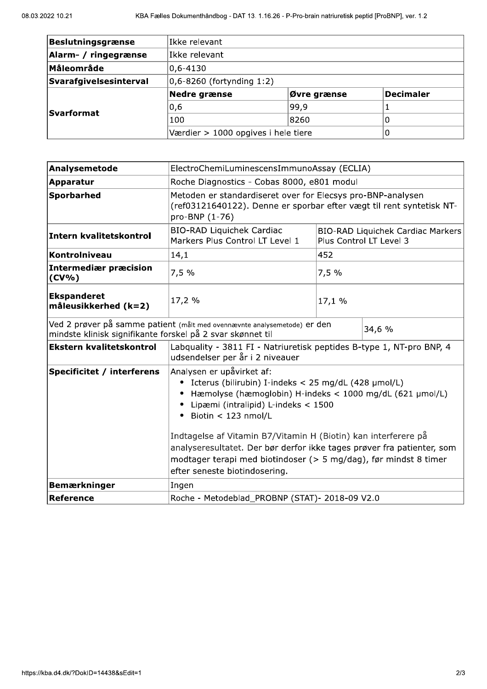| Beslutningsgrænse      | Ikke relevant                       |             |           |  |  |
|------------------------|-------------------------------------|-------------|-----------|--|--|
| Alarm- / ringegrænse   | Ikke relevant                       |             |           |  |  |
| <b>Måleområde</b>      | $ 0,6 - 4130 $                      |             |           |  |  |
| Svarafgivelsesinterval | $ 0,6 - 8260$ (fortynding 1:2)      |             |           |  |  |
|                        | Nedre grænse                        | Øvre grænse | Decimaler |  |  |
| <b>Svarformat</b>      | 0,6                                 | 99,9        |           |  |  |
|                        | 100                                 | 8260        |           |  |  |
|                        | Værdier > 1000 opgives i hele tiere | Ü           |           |  |  |

| Analysemetode                                              | ElectroChemiLuminescensImmunoAssay (ECLIA)                                                                                                                                                                                                                                                                                                                                                                                                                        |                                                              |        |  |
|------------------------------------------------------------|-------------------------------------------------------------------------------------------------------------------------------------------------------------------------------------------------------------------------------------------------------------------------------------------------------------------------------------------------------------------------------------------------------------------------------------------------------------------|--------------------------------------------------------------|--------|--|
| Apparatur                                                  | Roche Diagnostics - Cobas 8000, e801 modul                                                                                                                                                                                                                                                                                                                                                                                                                        |                                                              |        |  |
| <b>Sporbarhed</b>                                          | Metoden er standardiseret over for Elecsys pro-BNP-analysen<br>(ref03121640122). Denne er sporbar efter vægt til rent syntetisk NT-<br>pro-BNP (1-76)                                                                                                                                                                                                                                                                                                             |                                                              |        |  |
| Intern kvalitetskontrol                                    | <b>BIO-RAD Liquichek Cardiac</b><br>Markers Plus Control LT Level 1                                                                                                                                                                                                                                                                                                                                                                                               | BIO-RAD Liquichek Cardiac Markers<br>Plus Control LT Level 3 |        |  |
| Kontrolniveau                                              | 14,1                                                                                                                                                                                                                                                                                                                                                                                                                                                              | 452                                                          |        |  |
| <b>Intermediær præcision</b><br>$(CV\% )$                  | 7,5%                                                                                                                                                                                                                                                                                                                                                                                                                                                              | 7,5%                                                         |        |  |
| <b>Ekspanderet</b><br>måleusikkerhed (k=2)                 | 17,2 %                                                                                                                                                                                                                                                                                                                                                                                                                                                            | 17,1 %                                                       |        |  |
| mindste klinisk signifikante forskel på 2 svar skønnet til | Ved 2 prøver på samme patient (målt med ovennævnte analysemetode) er den                                                                                                                                                                                                                                                                                                                                                                                          |                                                              | 34,6 % |  |
| <b>Ekstern kvalitetskontrol</b>                            | Labquality - 3811 FI - Natriuretisk peptides B-type 1, NT-pro BNP, 4<br>udsendelser per år i 2 niveauer                                                                                                                                                                                                                                                                                                                                                           |                                                              |        |  |
| Specificitet / interferens                                 | Analysen er upåvirket af:<br>Icterus (bilirubin) I-indeks < 25 mg/dL (428 µmol/L)<br>٠<br>Hæmolyse (hæmoglobin) H-indeks < 1000 mg/dL (621 µmol/L)<br>Lipæmi (intralipid) L-indeks < 1500<br>Biotin < 123 nmol/L<br>Indtagelse af Vitamin B7/Vitamin H (Biotin) kan interferere på<br>analyseresultatet. Der bør derfor ikke tages prøver fra patienter, som<br>modtager terapi med biotindoser (> 5 mg/dag), før mindst 8 timer<br>efter seneste biotindosering. |                                                              |        |  |
| <b>Bemærkninger</b>                                        | Ingen                                                                                                                                                                                                                                                                                                                                                                                                                                                             |                                                              |        |  |
| Reference                                                  | Roche - Metodeblad_PROBNP (STAT)- 2018-09 V2.0                                                                                                                                                                                                                                                                                                                                                                                                                    |                                                              |        |  |